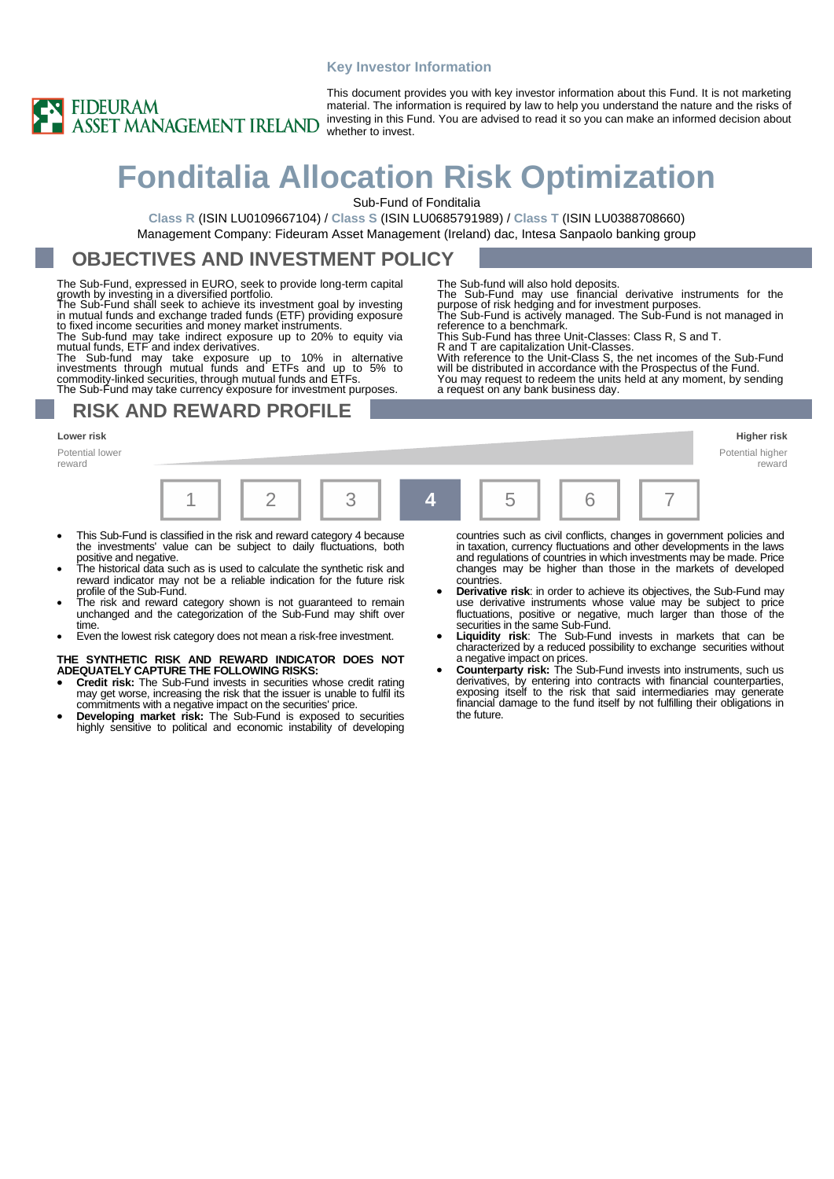#### **Key Investor Information**



This document provides you with key investor information about this Fund. It is not marketing material. The information is required by law to help you understand the nature and the risks of investing in this Fund. You are advised to read it so you can make an informed decision about whether to invest.

The Sub-fund will also hold deposits.

a request on any bank business day.

# **Fonditalia Allocation Risk Optimization**

Sub-Fund of Fonditalia

**Class R** (ISIN LU0109667104) / **Class S** (ISIN LU0685791989) / **Class T** (ISIN LU0388708660) Management Company: Fideuram Asset Management (Ireland) dac, Intesa Sanpaolo banking group

## **OBJECTIVES AND INVESTMENT POLICY**

The Sub-Fund, expressed in EURO, seek to provide long-term capital

growth by investing in a diversified portfolio.<br>The Sub-Fund shall seek to achieve its investment goal by investing<br>in mutual funds and exchange traded funds (ETF) providing exposure<br>to fixed income securities and money ma

The Sub-fund may take indirect exposure up to 20% to equity via

mutual funds, ETF and index derivatives.<br>The Sub-fund may take exposure up to 10% in alternative<br>investments through mutual funds and ETFs and up to 5% to<br>commodity-linked securities, through mutual funds and ETFs.<br>The Sub

### **RISK AND REWARD PROFILE**

**Lower risk Higher risk**

Potential lower reward

|  |  |  |    |  |  |  | __<br>reward |
|--|--|--|----|--|--|--|--------------|
|  |  |  | 4. |  |  |  |              |

- This Sub-Fund is classified in the risk and reward category 4 because the investments' value can be subject to daily fluctuations, both positive and negative.
- The historical data such as is used to calculate the synthetic risk and reward indicator may not be a reliable indication for the future risk profile of the Sub-Fund.
- The risk and reward category shown is not guaranteed to remain unchanged and the categorization of the Sub-Fund may shift over time.
- Even the lowest risk category does not mean a risk-free investment.

**THE SYNTHETIC RISK AND REWARD INDICATOR DOES NOT ADEQUATELY CAPTURE THE FOLLOWING RISKS:**

- **Credit risk:** The Sub-Fund invests in securities whose credit rating may get worse, increasing the risk that the issuer is unable to fulfil its commitments with a negative impact on the securities' price.
- **Developing market risk:** The Sub-Fund is exposed to securities highly sensitive to political and economic instability of developing

countries such as civil conflicts, changes in government policies and in taxation, currency fluctuations and other developments in the laws and regulations of countries in which investments may be made. Price changes may be higher than those in the markets of developed countries.

Potential higher

The Sub-Fund may use financial derivative instruments for the purpose of risk hedging and for investment purposes. The Sub-Fund is actively managed. The Sub-Fund is not managed in

R and T are capitalization Unit-Classes. With reference to the Unit-Class S, the net incomes of the Sub-Fund will be distributed in accordance with the Prospectus of the Fund. You may request to redeem the units held at any moment, by sending

reference to a benchmark. This Sub-Fund has three Unit-Classes: Class R, S and T.

- **Derivative risk**: in order to achieve its objectives, the Sub-Fund may use derivative instruments whose value may be subject to price fluctuations, positive or negative, much larger than those of the securities in the same Sub-Fund.
- **Liquidity risk**: The Sub-Fund invests in markets that can be characterized by a reduced possibility to exchange securities without a negative impact on prices.
- **Counterparty risk:** The Sub-Fund invests into instruments, such us derivatives, by entering into contracts with financial counterparties, exposing itself to the risk that said intermediaries may generate financial damage to the fund itself by not fulfilling their obligations in the future.